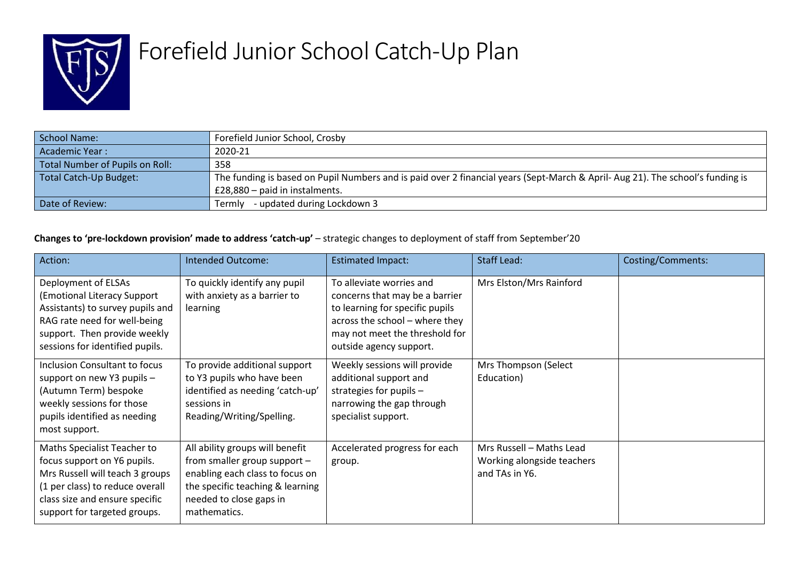

## Forefield Junior School Catch-Up Plan

| School Name:                    | Forefield Junior School, Crosby                                                                                               |
|---------------------------------|-------------------------------------------------------------------------------------------------------------------------------|
| Academic Year:                  | 2020-21                                                                                                                       |
| Total Number of Pupils on Roll: | 358                                                                                                                           |
| Total Catch-Up Budget:          | The funding is based on Pupil Numbers and is paid over 2 financial years (Sept-March & April-Aug 21). The school's funding is |
|                                 | $£28,880$ - paid in instalments.                                                                                              |
| Date of Review:                 | - updated during Lockdown 3<br>Termlv                                                                                         |

## **Changes to 'pre-lockdown provision' made to address 'catch-up'** – strategic changes to deployment of staff from September'20

| Action:                                                                                                                                                                                            | <b>Intended Outcome:</b>                                                                                                                                                          | <b>Estimated Impact:</b>                                                                                                                                                                     | <b>Staff Lead:</b>                                                       | <b>Costing/Comments:</b> |
|----------------------------------------------------------------------------------------------------------------------------------------------------------------------------------------------------|-----------------------------------------------------------------------------------------------------------------------------------------------------------------------------------|----------------------------------------------------------------------------------------------------------------------------------------------------------------------------------------------|--------------------------------------------------------------------------|--------------------------|
| Deployment of ELSAs<br>(Emotional Literacy Support<br>Assistants) to survey pupils and<br>RAG rate need for well-being<br>support. Then provide weekly<br>sessions for identified pupils.          | To quickly identify any pupil<br>with anxiety as a barrier to<br>learning                                                                                                         | To alleviate worries and<br>concerns that may be a barrier<br>to learning for specific pupils<br>across the school - where they<br>may not meet the threshold for<br>outside agency support. | Mrs Elston/Mrs Rainford                                                  |                          |
| Inclusion Consultant to focus<br>support on new Y3 pupils -<br>(Autumn Term) bespoke<br>weekly sessions for those<br>pupils identified as needing<br>most support.                                 | To provide additional support<br>to Y3 pupils who have been<br>identified as needing 'catch-up'<br>sessions in<br>Reading/Writing/Spelling.                                       | Weekly sessions will provide<br>additional support and<br>strategies for pupils $-$<br>narrowing the gap through<br>specialist support.                                                      | Mrs Thompson (Select<br>Education)                                       |                          |
| Maths Specialist Teacher to<br>focus support on Y6 pupils.<br>Mrs Russell will teach 3 groups<br>(1 per class) to reduce overall<br>class size and ensure specific<br>support for targeted groups. | All ability groups will benefit<br>from smaller group support -<br>enabling each class to focus on<br>the specific teaching & learning<br>needed to close gaps in<br>mathematics. | Accelerated progress for each<br>group.                                                                                                                                                      | Mrs Russell - Maths Lead<br>Working alongside teachers<br>and TAs in Y6. |                          |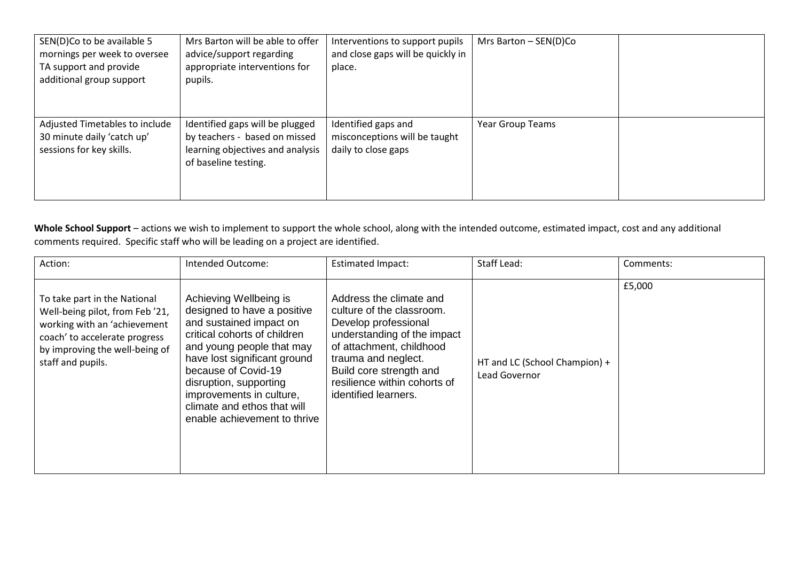| SEN(D)Co to be available 5<br>mornings per week to oversee<br>TA support and provide<br>additional group support | Mrs Barton will be able to offer<br>advice/support regarding<br>appropriate interventions for<br>pupils.                     | Interventions to support pupils<br>and close gaps will be quickly in<br>place. | Mrs Barton $-$ SEN(D)Co |  |
|------------------------------------------------------------------------------------------------------------------|------------------------------------------------------------------------------------------------------------------------------|--------------------------------------------------------------------------------|-------------------------|--|
| Adjusted Timetables to include<br>30 minute daily 'catch up'<br>sessions for key skills.                         | Identified gaps will be plugged<br>by teachers - based on missed<br>learning objectives and analysis<br>of baseline testing. | Identified gaps and<br>misconceptions will be taught<br>daily to close gaps    | <b>Year Group Teams</b> |  |

Whole School Support – actions we wish to implement to support the whole school, along with the intended outcome, estimated impact, cost and any additional comments required. Specific staff who will be leading on a project are identified.

| Action:                                                                                                                                                                                 | Intended Outcome:                                                                                                                                                                                                                                                                                                         | <b>Estimated Impact:</b>                                                                                                                                                                                                                          | Staff Lead:                                    | Comments: |
|-----------------------------------------------------------------------------------------------------------------------------------------------------------------------------------------|---------------------------------------------------------------------------------------------------------------------------------------------------------------------------------------------------------------------------------------------------------------------------------------------------------------------------|---------------------------------------------------------------------------------------------------------------------------------------------------------------------------------------------------------------------------------------------------|------------------------------------------------|-----------|
| To take part in the National<br>Well-being pilot, from Feb '21,<br>working with an 'achievement<br>coach' to accelerate progress<br>by improving the well-being of<br>staff and pupils. | Achieving Wellbeing is<br>designed to have a positive<br>and sustained impact on<br>critical cohorts of children<br>and young people that may<br>have lost significant ground<br>because of Covid-19<br>disruption, supporting<br>improvements in culture,<br>climate and ethos that will<br>enable achievement to thrive | Address the climate and<br>culture of the classroom.<br>Develop professional<br>understanding of the impact<br>of attachment, childhood<br>trauma and neglect.<br>Build core strength and<br>resilience within cohorts of<br>identified learners. | HT and LC (School Champion) +<br>Lead Governor | £5,000    |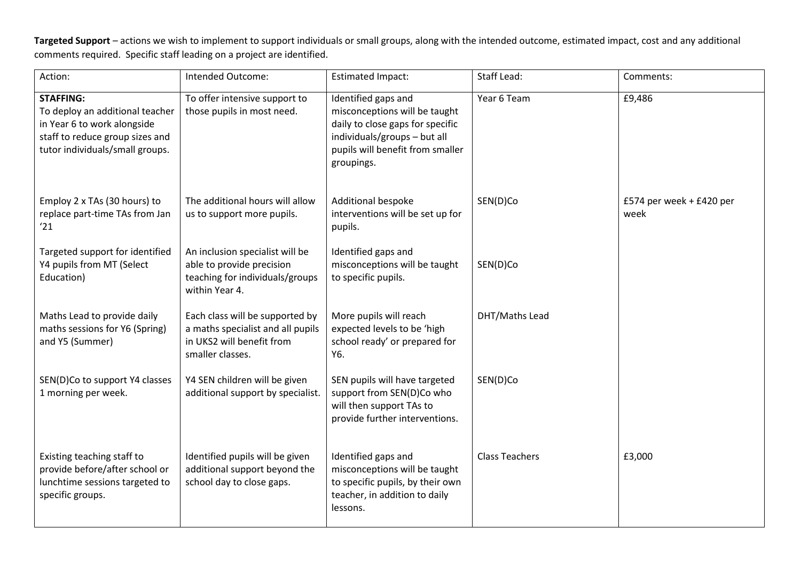**Targeted Support** – actions we wish to implement to support individuals or small groups, along with the intended outcome, estimated impact, cost and any additional comments required. Specific staff leading on a project are identified.

| Action:                                                                                                                                                  | Intended Outcome:                                                                                                     | <b>Estimated Impact:</b>                                                                                                                                                   | Staff Lead:           | Comments:                        |
|----------------------------------------------------------------------------------------------------------------------------------------------------------|-----------------------------------------------------------------------------------------------------------------------|----------------------------------------------------------------------------------------------------------------------------------------------------------------------------|-----------------------|----------------------------------|
| <b>STAFFING:</b><br>To deploy an additional teacher<br>in Year 6 to work alongside<br>staff to reduce group sizes and<br>tutor individuals/small groups. | To offer intensive support to<br>those pupils in most need.                                                           | Identified gaps and<br>misconceptions will be taught<br>daily to close gaps for specific<br>individuals/groups - but all<br>pupils will benefit from smaller<br>groupings. | Year 6 Team           | £9,486                           |
| Employ 2 x TAs (30 hours) to<br>replace part-time TAs from Jan<br>'21                                                                                    | The additional hours will allow<br>us to support more pupils.                                                         | Additional bespoke<br>interventions will be set up for<br>pupils.                                                                                                          | SEN(D)Co              | £574 per week + £420 per<br>week |
| Targeted support for identified<br>Y4 pupils from MT (Select<br>Education)                                                                               | An inclusion specialist will be<br>able to provide precision<br>teaching for individuals/groups<br>within Year 4.     | Identified gaps and<br>misconceptions will be taught<br>to specific pupils.                                                                                                | SEN(D)Co              |                                  |
| Maths Lead to provide daily<br>maths sessions for Y6 (Spring)<br>and Y5 (Summer)                                                                         | Each class will be supported by<br>a maths specialist and all pupils<br>in UKS2 will benefit from<br>smaller classes. | More pupils will reach<br>expected levels to be 'high<br>school ready' or prepared for<br>Y6.                                                                              | DHT/Maths Lead        |                                  |
| SEN(D)Co to support Y4 classes<br>1 morning per week.                                                                                                    | Y4 SEN children will be given<br>additional support by specialist.                                                    | SEN pupils will have targeted<br>support from SEN(D)Co who<br>will then support TAs to<br>provide further interventions.                                                   | SEN(D)Co              |                                  |
| Existing teaching staff to<br>provide before/after school or<br>lunchtime sessions targeted to<br>specific groups.                                       | Identified pupils will be given<br>additional support beyond the<br>school day to close gaps.                         | Identified gaps and<br>misconceptions will be taught<br>to specific pupils, by their own<br>teacher, in addition to daily<br>lessons.                                      | <b>Class Teachers</b> | £3,000                           |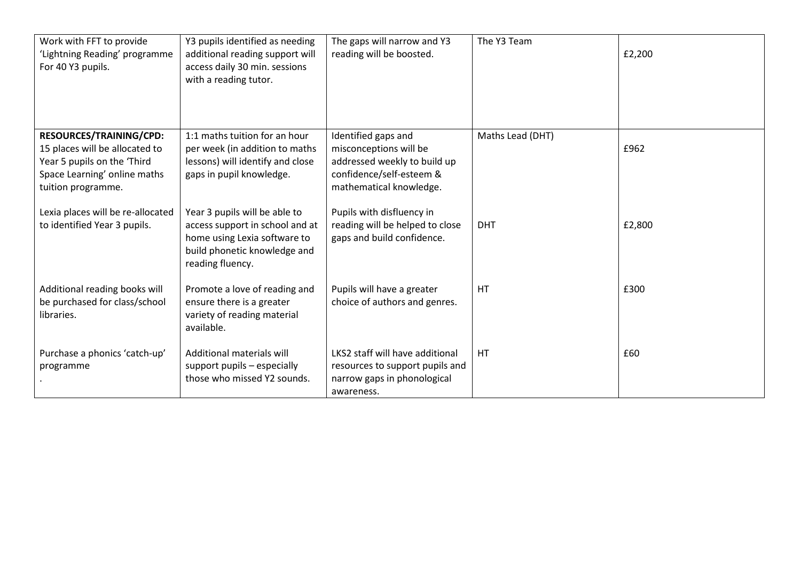| Work with FFT to provide<br>'Lightning Reading' programme<br>For 40 Y3 pupils.                                                                 | Y3 pupils identified as needing<br>additional reading support will<br>access daily 30 min. sessions<br>with a reading tutor.                         | The gaps will narrow and Y3<br>reading will be boosted.                                                                              | The Y3 Team      | £2,200 |
|------------------------------------------------------------------------------------------------------------------------------------------------|------------------------------------------------------------------------------------------------------------------------------------------------------|--------------------------------------------------------------------------------------------------------------------------------------|------------------|--------|
| RESOURCES/TRAINING/CPD:<br>15 places will be allocated to<br>Year 5 pupils on the 'Third<br>Space Learning' online maths<br>tuition programme. | 1:1 maths tuition for an hour<br>per week (in addition to maths<br>lessons) will identify and close<br>gaps in pupil knowledge.                      | Identified gaps and<br>misconceptions will be<br>addressed weekly to build up<br>confidence/self-esteem &<br>mathematical knowledge. | Maths Lead (DHT) | £962   |
| Lexia places will be re-allocated<br>to identified Year 3 pupils.                                                                              | Year 3 pupils will be able to<br>access support in school and at<br>home using Lexia software to<br>build phonetic knowledge and<br>reading fluency. | Pupils with disfluency in<br>reading will be helped to close<br>gaps and build confidence.                                           | <b>DHT</b>       | £2,800 |
| Additional reading books will<br>be purchased for class/school<br>libraries.                                                                   | Promote a love of reading and<br>ensure there is a greater<br>variety of reading material<br>available.                                              | Pupils will have a greater<br>choice of authors and genres.                                                                          | HT               | £300   |
| Purchase a phonics 'catch-up'<br>programme                                                                                                     | Additional materials will<br>support pupils - especially<br>those who missed Y2 sounds.                                                              | LKS2 staff will have additional<br>resources to support pupils and<br>narrow gaps in phonological<br>awareness.                      | HT.              | £60    |